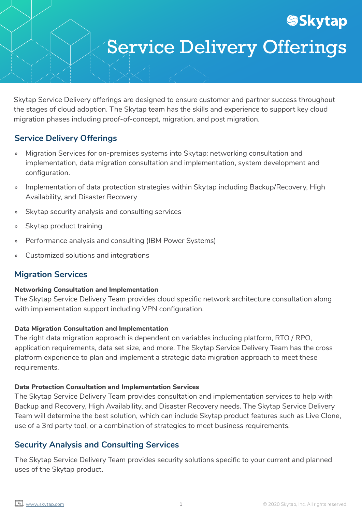# Service Delivery Offerings

**SSkytap** 

Skytap Service Delivery offerings are designed to ensure customer and partner success throughout the stages of cloud adoption. The Skytap team has the skills and experience to support key cloud migration phases including proof-of-concept, migration, and post migration.

# **Service Delivery Offerings**

- » Migration Services for on-premises systems into Skytap: networking consultation and implementation, data migration consultation and implementation, system development and configuration.
- » Implementation of data protection strategies within Skytap including Backup/Recovery, High Availability, and Disaster Recovery
- » Skytap security analysis and consulting services
- » Skytap product training
- » Performance analysis and consulting (IBM Power Systems)
- » Customized solutions and integrations

# **Migration Services**

#### **Networking Consultation and Implementation**

The Skytap Service Delivery Team provides cloud specific network architecture consultation along with implementation support including VPN configuration.

#### **Data Migration Consultation and Implementation**

The right data migration approach is dependent on variables including platform, RTO / RPO, application requirements, data set size, and more. The Skytap Service Delivery Team has the cross platform experience to plan and implement a strategic data migration approach to meet these requirements.

#### **Data Protection Consultation and Implementation Services**

The Skytap Service Delivery Team provides consultation and implementation services to help with Backup and Recovery, High Availability, and Disaster Recovery needs. The Skytap Service Delivery Team will determine the best solution, which can include Skytap product features such as Live Clone, use of a 3rd party tool, or a combination of strategies to meet business requirements.

# **Security Analysis and Consulting Services**

The Skytap Service Delivery Team provides security solutions specific to your current and planned uses of the Skytap product.